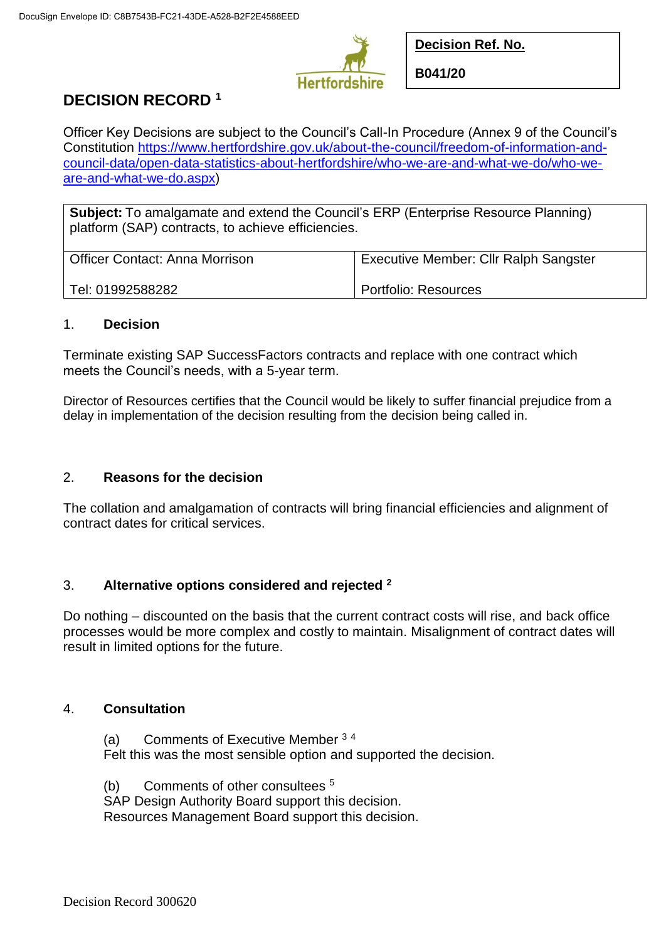

**Decision Ref. No.**

**B041/20**

# **DECISION RECORD <sup>1</sup>**

Officer Key Decisions are subject to the Council's Call-In Procedure (Annex 9 of the Council's Constitution [https://www.hertfordshire.gov.uk/about-the-council/freedom-of-information-and](https://www.hertfordshire.gov.uk/about-the-council/freedom-of-information-and-council-data/open-data-statistics-about-hertfordshire/who-we-are-and-what-we-do/who-we-are-and-what-we-do.aspx)[council-data/open-data-statistics-about-hertfordshire/who-we-are-and-what-we-do/who-we](https://www.hertfordshire.gov.uk/about-the-council/freedom-of-information-and-council-data/open-data-statistics-about-hertfordshire/who-we-are-and-what-we-do/who-we-are-and-what-we-do.aspx)[are-and-what-we-do.aspx\)](https://www.hertfordshire.gov.uk/about-the-council/freedom-of-information-and-council-data/open-data-statistics-about-hertfordshire/who-we-are-and-what-we-do/who-we-are-and-what-we-do.aspx)

**Subject:** To amalgamate and extend the Council's ERP (Enterprise Resource Planning) platform (SAP) contracts, to achieve efficiencies.

| <b>Officer Contact: Anna Morrison</b> | <b>Executive Member: Cllr Ralph Sangster</b> |
|---------------------------------------|----------------------------------------------|
| Tel: 01992588282                      | Portfolio: Resources                         |

#### 1. **Decision**

Terminate existing SAP SuccessFactors contracts and replace with one contract which meets the Council's needs, with a 5-year term.

Director of Resources certifies that the Council would be likely to suffer financial prejudice from a delay in implementation of the decision resulting from the decision being called in.

## 2. **Reasons for the decision**

The collation and amalgamation of contracts will bring financial efficiencies and alignment of contract dates for critical services.

## 3. **Alternative options considered and rejected <sup>2</sup>**

Do nothing – discounted on the basis that the current contract costs will rise, and back office processes would be more complex and costly to maintain. Misalignment of contract dates will result in limited options for the future.

### 4. **Consultation**

(a) Comments of Executive Member <sup>3</sup> <sup>4</sup> Felt this was the most sensible option and supported the decision.

(b) Comments of other consultees <sup>5</sup> SAP Design Authority Board support this decision. Resources Management Board support this decision.